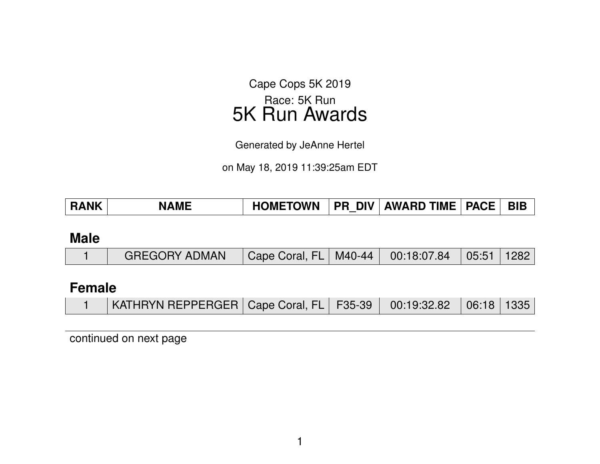Cape Cops 5K 2019 Race: 5K Run 5K Run Awards

Generated by JeAnne Hertel

on May 18, 2019 11:39:25am EDT

| <b>RANK</b> | <b>NAME</b> | <b>HOMETOWN</b> | <b>PR DIV</b> | AWARD TIME   PACE | <b>BIB</b> |
|-------------|-------------|-----------------|---------------|-------------------|------------|
|             |             |                 |               |                   |            |

#### **Male**

|  | GREGORY ADMAN   Cape Coral, FL   M40-44   00:18:07.84   05:51   1282 |  |  |  |  |  |
|--|----------------------------------------------------------------------|--|--|--|--|--|
|--|----------------------------------------------------------------------|--|--|--|--|--|

#### **Female**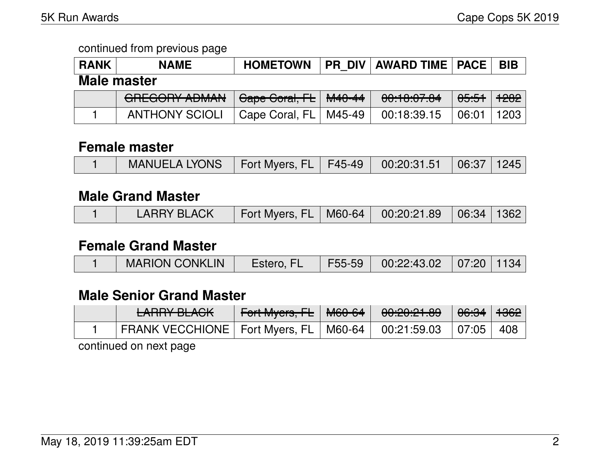| <b>RANK</b> | <b>NAME</b>           | <b>HOMETOWN</b>         | <b>PR DIV</b> | <b>AWARD TIME   PACE  </b> |                  | <b>BIB</b> |  |  |
|-------------|-----------------------|-------------------------|---------------|----------------------------|------------------|------------|--|--|
| Male master |                       |                         |               |                            |                  |            |  |  |
|             | <b>GREGORY ADMAN</b>  | Cape Coral, FL   M40-44 |               | 00:10:07.04                | <del>05:51</del> | 1282       |  |  |
|             | <b>ANTHONY SCIOLI</b> | Cape Coral, FL,         | M45-49        | 00:18:39.15                | 06:01            | 1203       |  |  |

#### **Female master**

|  | │ MANUELA LYONS │ Fort Myers, FL │ F45-49 │ 00:20:31.51 │ 06:37 │ 1245 │ |  |  |  |  |  |
|--|--------------------------------------------------------------------------|--|--|--|--|--|
|--|--------------------------------------------------------------------------|--|--|--|--|--|

#### **Male Grand Master**

|  | <b>LARRY BLACK</b> | Fort Myers, FL   M60-64   00:20:21.89   06:34   1362 |  |  |  |  |
|--|--------------------|------------------------------------------------------|--|--|--|--|
|--|--------------------|------------------------------------------------------|--|--|--|--|

#### **Female Grand Master**

|  | <b>MARION CONKLIN</b> | Estero, FL | F55-59 | $00:22:43.02$   07:20   1134 |  |  |
|--|-----------------------|------------|--------|------------------------------|--|--|
|--|-----------------------|------------|--------|------------------------------|--|--|

# **Male Senior Grand Master**

| <u>LADDV DI AQIZ</u><br><b>CANNO DEAVIL</b> |  | <u>AA.AA.A1 AA</u><br>00. <del>CU.CT.00</del> | <del>06:34</del> | 1362 |
|---------------------------------------------|--|-----------------------------------------------|------------------|------|
| FRANK VECCHIONE   Fort Myers, FL   M60-64   |  | 00:21:59.03                                   | $\perp$ 07:05    | 408  |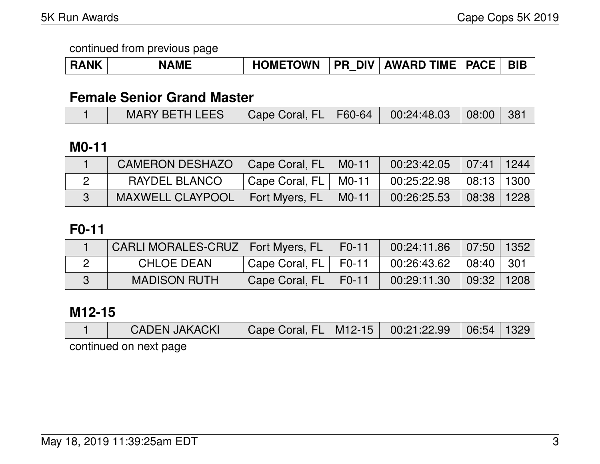| <b>RANK</b> | <b>NAME</b> | <b>HOMETOWN</b> |  | <b>PR DIV AWARD TIME PACE</b> |  | BIB |
|-------------|-------------|-----------------|--|-------------------------------|--|-----|
|-------------|-------------|-----------------|--|-------------------------------|--|-----|

# **Female Senior Grand Master**

# **M0-11**

| <b>CAMERON DESHAZO</b>  | Cape Coral, FL   | $MO-11$ | $00:23:42.05$ 07:41 1244     |            |  |
|-------------------------|------------------|---------|------------------------------|------------|--|
| RAYDEL BLANCO           | Cape Coral, FL I | M0-11   | $00:25:22.98$   08:13   1300 |            |  |
| <b>MAXWELL CLAYPOOL</b> | Fort Myers, FL   | M0-11   | 00:26:25.53                  | 08:38 1228 |  |

# **F0-11**

| CARLI MORALES-CRUZ   Fort Myers, FL |                  | $F0-11$ | 00:24:11.86                           | $\vert$ 07:50 $\vert$ 1352 $\vert$ |  |
|-------------------------------------|------------------|---------|---------------------------------------|------------------------------------|--|
| <b>CHLOE DEAN</b>                   | Cape Coral, FL I | F0-11   | $00:26:43.62$ $\mid$ 08:40 $\mid$ 301 |                                    |  |
| <b>MADISON RUTH</b>                 | Cape Coral, FL   | F0-11   | 00:29:11.30                           | $\vert$ 09:32   1208               |  |

#### **M12-15**

| <b>CADEN JAKACKI</b>   | Cape Coral, FL   M12-15   00:21:22.99   06:54   1329 |  |  |
|------------------------|------------------------------------------------------|--|--|
| continued on next page |                                                      |  |  |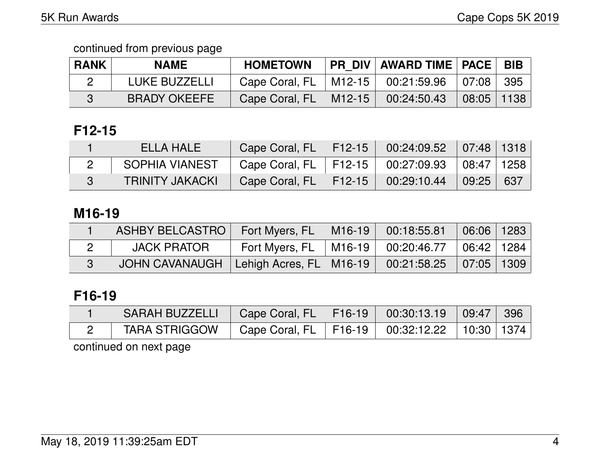| <b>RANK</b> | <b>NAME</b>         | <b>HOMETOWN</b>                       |                      | PR DIV   AWARD TIME   PACE   BIB |                                 |  |
|-------------|---------------------|---------------------------------------|----------------------|----------------------------------|---------------------------------|--|
|             | LUKE BUZZELLI       | Cape Coral, FL   M12-15   00:21:59.96 |                      |                                  | 07:08 395                       |  |
|             | <b>BRADY OKEEFE</b> | Cape Coral, FL                        | $\mid$ M12-15 $\mid$ | 00:24:50.43                      | $\mid$ 08:05 $\mid$ 1138 $\mid$ |  |

# **F12-15**

| ELLA HALE              | Cape Coral, FL   F12-15   00:24:09.52   07:48   1318 |  |  |
|------------------------|------------------------------------------------------|--|--|
| SOPHIA VIANEST         | Cape Coral, FL   F12-15   00:27:09.93   08:47   1258 |  |  |
| <b>TRINITY JAKACKI</b> | Cape Coral, FL   F12-15   00:29:10.44   09:25   637  |  |  |

# **M16-19**

|                    | Fort Myers, FL            | $\parallel$ M16-19 $\parallel$ | 00:18:55.81                               | $06:06$   1283 |  |
|--------------------|---------------------------|--------------------------------|-------------------------------------------|----------------|--|
| <b>JACK PRATOR</b> | Fort Myers, $FL$   M16-19 |                                | $00:20:46.77$ $\mid 06:42 \mid 1284 \mid$ |                |  |
| JOHN CAVANAUGH     | Lehigh Acres, FL   M16-19 |                                | $00:21:58.25$ 07:05 1309                  |                |  |

# **F16-19**

| SARAH BUZZELLI   Cape Coral, FL   F16-19   00:30:13.19   09:47   396 |                                                      |  |  |
|----------------------------------------------------------------------|------------------------------------------------------|--|--|
| <b>TARA STRIGGOW</b>                                                 | Cape Coral, FL   F16-19   00:32:12.22   10:30   1374 |  |  |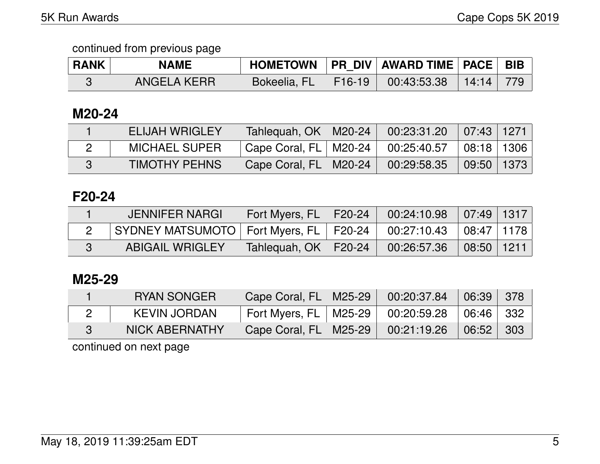| <b>RANK</b> | NAME               |                     | HOMETOWN   PR DIV   AWARD TIME   PACE | <b>BIB</b> |
|-------------|--------------------|---------------------|---------------------------------------|------------|
|             | <b>ANGELA KERR</b> | Bokeelia, FL F16-19 | $\parallel$ 00:43:53.38 14:14         | -779       |

#### **M20-24**

| ELIJAH WRIGLEY       | Tahlequah, OK   M20-24  | $00:23:31.20$ 07:43 1271 |                        |  |
|----------------------|-------------------------|--------------------------|------------------------|--|
| <b>MICHAEL SUPER</b> | Cape Coral, FL   M20-24 | 00:25:40.57              | $\vert$ 08:18   1306   |  |
| <b>TIMOTHY PEHNS</b> | Cape Coral, FL   M20-24 | 00:29:58.35              | $\bigcup$ 09:50   1373 |  |

## **F20-24**

| <b>JENNIFER NARGI</b>                      | Fort Myers, FL   F20-24 | $00:24:10.98$ 07:49 1317                                                                         |                                    |  |
|--------------------------------------------|-------------------------|--------------------------------------------------------------------------------------------------|------------------------------------|--|
| SYDNEY MATSUMOTO   Fort Myers, FL   F20-24 |                         | $\begin{array}{ c c c c c }\ \hline \text{00:27:10.43} & \text{08:47} & \text{1178} \end{array}$ |                                    |  |
| <b>ABIGAIL WRIGLEY</b>                     | Tahlequah, OK   F20-24  | 00:26:57.36                                                                                      | $\vert$ 08:50 $\vert$ 1211 $\vert$ |  |

## **M25-29**

| <b>RYAN SONGER</b>    | Cape Coral, FL   M25-29   | 00:20:37.84 | 06:39     | 378  |
|-----------------------|---------------------------|-------------|-----------|------|
| <b>KEVIN JORDAN</b>   | Fort Myers, FL   M25-29 , | 00:20:59.28 | 06:46 332 |      |
| <b>NICK ABERNATHY</b> | Cape Coral, FL   M25-29   | 00:21:19.26 | 06:52     | -303 |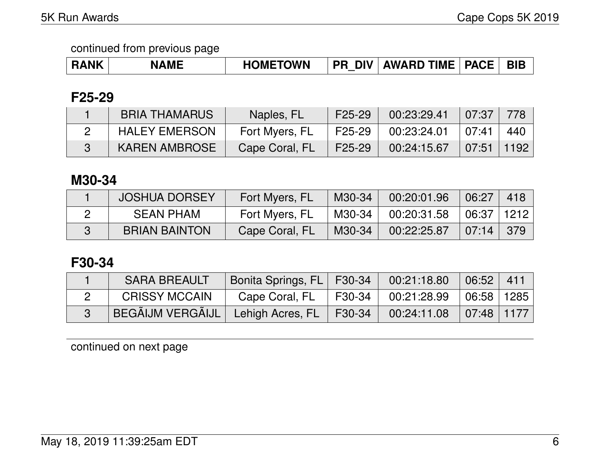| <b>RANK</b> | <b>NAME</b> | <b>HOMETOWN</b> | <b>DIV</b><br>PR | <b>TIME</b><br><b>AWARD</b> | <b>PACE</b> | <b>BIE</b> |
|-------------|-------------|-----------------|------------------|-----------------------------|-------------|------------|
|-------------|-------------|-----------------|------------------|-----------------------------|-------------|------------|

## **F25-29**

| <b>BRIA THAMARUS</b> | Naples, FL     | F <sub>25</sub> -29 | 00:23:29.41               | 07:37                       |  |
|----------------------|----------------|---------------------|---------------------------|-----------------------------|--|
| <b>HALEY EMERSON</b> | Fort Myers, FL | F25-29              | $00:23:24.01$ $07:41$ 440 |                             |  |
| <b>KAREN AMBROSE</b> | Cape Coral, FL | F25-29              | 00:24:15.67               | $\mid 07:51 \mid 1192 \mid$ |  |

# **M30-34**

| <b>JOSHUA DORSEY</b> | Fort Myers, FL | M30-34 | 00:20:01.96 | 06:27        | 418             |
|----------------------|----------------|--------|-------------|--------------|-----------------|
| <b>SEAN PHAM</b>     | Fort Myers, FL | M30-34 | 00:20:31.58 | 06:37   1212 |                 |
| <b>BRIAN BAINTON</b> | Cape Coral, FL | M30-34 | 00:22:25.87 | 07:14        | $\frac{1}{379}$ |

# **F30-34**

| <b>SARA BREAULT</b>                          | Bonita Springs, FL   F30-34 |                | 00:21:18.80                                        | 06:52   411         |  |
|----------------------------------------------|-----------------------------|----------------|----------------------------------------------------|---------------------|--|
| <b>CRISSY MCCAIN</b>                         | Cape Coral, FL              | $\vert$ F30-34 | 00:21:28.99                                        | $\mid$ 06:58   1285 |  |
| BEGÃIJM VERGÃIJL   Lehigh Acres, FL   F30-34 |                             |                | $\mid$ 00:24:11.08 $\mid$ 07:48 $\mid$ 1177 $\mid$ |                     |  |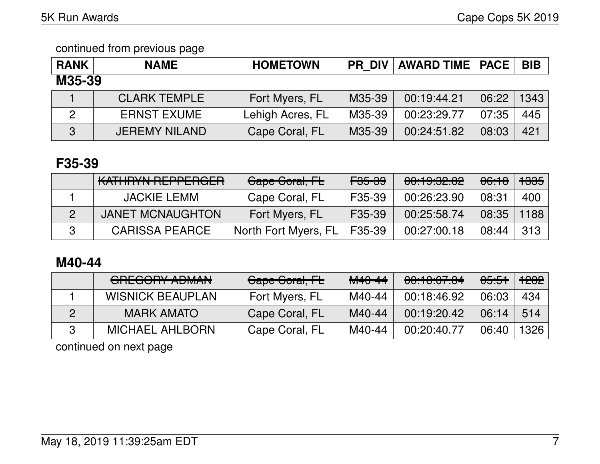| <b>RANK</b> | <b>NAME</b>          | <b>HOMETOWN</b>  | <b>PR DIV</b> | <b>AWARD TIME   PACE</b> |       | <b>BIB</b> |
|-------------|----------------------|------------------|---------------|--------------------------|-------|------------|
| M35-39      |                      |                  |               |                          |       |            |
|             | <b>CLARK TEMPLE</b>  | Fort Myers, FL   | M35-39        | 00:19:44.21              | 06:22 | 1343       |
| 2           | <b>ERNST EXUME</b>   | Lehigh Acres, FL | M35-39        | 00:23:29.77              | 07:35 | 445        |
| 3           | <b>JEREMY NILAND</b> | Cape Coral, FL   | M35-39        | 00:24:51.82              | 08:03 | 421        |

### **F35-39**

| KATHRYN REPPERGER       | Cape Coral, FL       | <del>F35-39</del> | 00:19:32.82 | <del>06:18</del> | <del>1335</del> |
|-------------------------|----------------------|-------------------|-------------|------------------|-----------------|
| <b>JACKIE LEMM</b>      | Cape Coral, FL       | F35-39            | 00:26:23.90 | 08:31            | 400             |
| <b>JANET MCNAUGHTON</b> | Fort Myers, FL       | F35-39            | 00:25:58.74 | 08:35            | 1188            |
| <b>CARISSA PEARCE</b>   | North Fort Myers, FL | F35-39            | 00:27:00.18 | 08:44            | 313             |

# **M40-44**

| CDECODY ADMANI<br><del>UNLUUNT ADIWAN</del> | Gape Goral, FL | <del>M40-44</del> | 00:10:07.04 | <del>05:51</del> | <del>1282</del> |
|---------------------------------------------|----------------|-------------------|-------------|------------------|-----------------|
| <b>WISNICK BEAUPLAN</b>                     | Fort Myers, FL | M40-44            | 00:18:46.92 | 06:03            | 434             |
| <b>MARK AMATO</b>                           | Cape Coral, FL | M40-44            | 00:19:20.42 | 06:14            | 514             |
| <b>MICHAEL AHLBORN</b>                      | Cape Coral, FL | M40-44            | 00:20:40.77 | 06:40            | 1326            |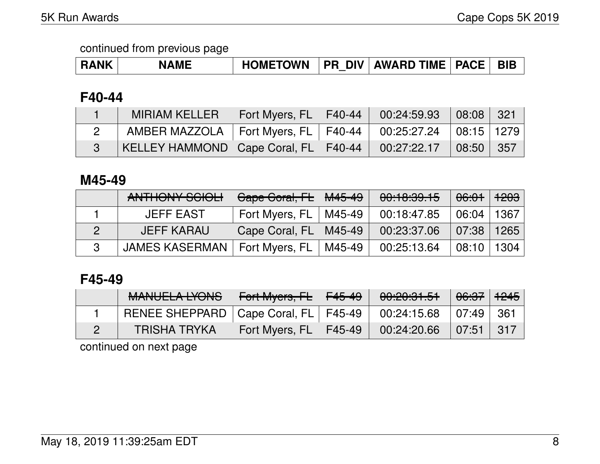| <b>RANK</b> | <b>NAME</b> |  |  | HOMETOWN   PR DIV   AWARD TIME   PACE   BIB |  |  |
|-------------|-------------|--|--|---------------------------------------------|--|--|
|-------------|-------------|--|--|---------------------------------------------|--|--|

### **F40-44**

| <b>MIRIAM KELLER</b>                     | Fort Myers, FL   F40-44   00:24:59.93   08:08   321  |                                                                                          |  |
|------------------------------------------|------------------------------------------------------|------------------------------------------------------------------------------------------|--|
| AMBER MAZZOLA                            | Fort Myers, FL   F40-44   00:25:27.24   08:15   1279 |                                                                                          |  |
| KELLEY HAMMOND   Cape Coral, FL   F40-44 |                                                      | $\begin{array}{ c c c c c c c c } \hline 00:27:22.17 & 08:50 & 357 \ \hline \end{array}$ |  |

#### **M45-49**

| ANTHONY SCIOLI        | Cape Coral, FL   M45-49 |        | 00:10:39.15 | <del>06:01</del> |      |
|-----------------------|-------------------------|--------|-------------|------------------|------|
| <b>JEFF EAST</b>      | Fort Myers, FL          | M45-49 | 00:18:47.85 | 06:04            | 1367 |
| <b>JEFF KARAU</b>     | Cape Coral, FL          | M45-49 | 00:23:37.06 | 07:38            | 1265 |
| <b>JAMES KASERMAN</b> | Fort Myers, FL          | M45-49 | 00:25:13.64 | 08:10            | 1304 |

# **F45-49**

| MANILIEL A IVONIO<br><b>MANULLA LIUNU</b> | Fort Myers, $F_{\text{L}}$   $F_{45-49}$ | 00:20:31.51 | <del>06:37</del> 1 <del>245</del> |        |
|-------------------------------------------|------------------------------------------|-------------|-----------------------------------|--------|
| RENEE SHEPPARD   Cape Coral, FL   F45-49  |                                          | 00:24:15.68 | $\vert 07:49 \vert$               | ' 361∶ |
| TRISHA TRYKA                              | Fort Myers, $FL$   $F45-49$              | 00:24:20.66 | 07:51                             | - 317  |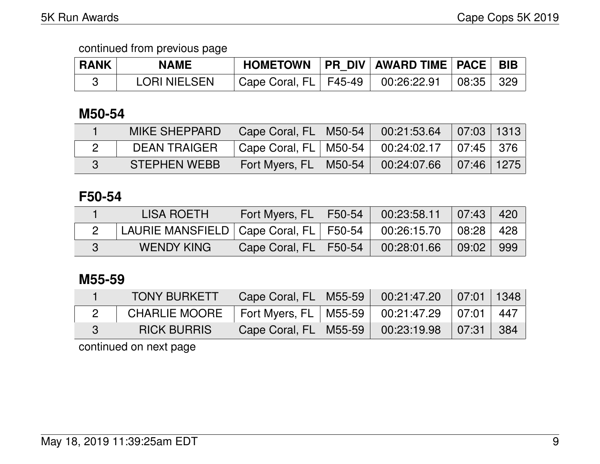| <b>RANK</b> | <b>NAME</b>  |                           | HOMETOWN   PR DIV   AWARD TIME   PACE   BIB |                           |  |
|-------------|--------------|---------------------------|---------------------------------------------|---------------------------|--|
|             | LORI NIELSEN | Cape Coral, $FL$   F45-49 | 100:26:22.91                                | $\vert$ 08:35 $\vert$ 329 |  |

## **M50-54**

| <b>MIKE SHEPPARD</b> | Cape Coral, FL   M50-54   00:21:53.64   07:03   1313 |  |  |
|----------------------|------------------------------------------------------|--|--|
| DEAN TRAIGER         | Cape Coral, FL   M50-54   00:24:02.17   07:45   376  |  |  |
| <b>STEPHEN WEBB</b>  | Fort Myers, FL   M50-54   00:24:07.66   07:46   1275 |  |  |

### **F50-54**

| <b>LISA ROETH</b>                                                      | Fort Myers, FL   F50-54 | $\downarrow$ 00:23:58.11 07:43 |                     | 420           |
|------------------------------------------------------------------------|-------------------------|--------------------------------|---------------------|---------------|
| LAURIE MANSFIELD   Cape Coral, FL   F50-54   00:26:15.70   08:28   428 |                         |                                |                     |               |
| WENDY KING                                                             | Cape Coral, FL   F50-54 | 00:28:01.66                    | $\mid$ 09:02 $\mid$ | $ 999\rangle$ |

## **M55-59**

| <b>TONY BURKETT</b> | Cape Coral, FL   M55-59   00:21:47.20   07:01   1348 |  |  |
|---------------------|------------------------------------------------------|--|--|
| CHARLIE MOORE       | 「Fort Myers, FL   M55-59   00:21:47.29   07:01   447 |  |  |
| <b>RICK BURRIS</b>  | Cape Coral, FL   M55-59   00:23:19.98   07:31   384  |  |  |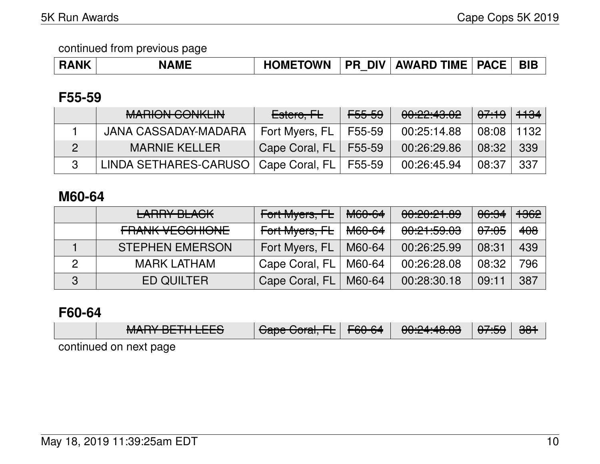| ۱ME<br><b>RANK</b> | <b>HOMETOWN</b> |  | <b>PR DIV AWARD TIME</b> | <b>PACE</b> | <b>BIE</b> |
|--------------------|-----------------|--|--------------------------|-------------|------------|
|--------------------|-----------------|--|--------------------------|-------------|------------|

#### **F55-59**

| MADIONI CONIIZI INI<br><b>MALUVIN VUNINEIN</b>  | Estero <del>, FL</del> | <del>F55-59</del> | 00:22:43.02 | <del>07:19</del>   <del>1134</del> |      |
|-------------------------------------------------|------------------------|-------------------|-------------|------------------------------------|------|
| JANA CASSADAY-MADARA                            | Fort Myers, FL         | F55-59            | 00:25:14.88 | 08:08                              | 1132 |
| <b>MARNIE KELLER</b>                            | Cape Coral, FL F55-59  |                   | 00:26:29.86 | 08:32                              | 339  |
| LINDA SETHARES-CARUSO   Cape Coral, FL   F55-59 |                        |                   | 00:26:45.94 | 08:37                              | 337  |

# **M60-64**

|   | <b>LARRY BLACK</b>     | <del>Fort Myers, FL</del> | <del>M60-64</del> | 00:20:21.89                   | <del>06:34</del> | 1362 |
|---|------------------------|---------------------------|-------------------|-------------------------------|------------------|------|
|   | <b>FRANK VECCHIONE</b> | Fort Myers, FL            | M60-64            | 0.01500<br><u>UU.CT.JJ.UJ</u> | <del>07:05</del> | 408  |
|   | <b>STEPHEN EMERSON</b> | Fort Myers, FL            | M60-64            | 00:26:25.99                   | 08:31            | 439  |
|   | <b>MARK LATHAM</b>     | Cape Coral, FL            | M60-64            | 00:26:28.08                   | 08:32            | 796  |
| 3 | <b>ED QUILTER</b>      | Cape Coral, FL            | M60-64            | 00:28:30.18                   | 09:11            | 387  |

#### **F60-64**

| MANDVDTTIIITTO<br><b>MANI DEMILECO</b> | $Caas$ $Caus$ $L$<br><b>Uape Curai, TE</b> | $\Gamma$ $\cap$ $\cap$ $\Lambda$<br>$T\sigma\sigma\tau\sigma\tau$ | $0.0.0411000$<br><del>uu.zh.hu.uu</del> | 07.JJ | $381$ |
|----------------------------------------|--------------------------------------------|-------------------------------------------------------------------|-----------------------------------------|-------|-------|
| continued on next page                 |                                            |                                                                   |                                         |       |       |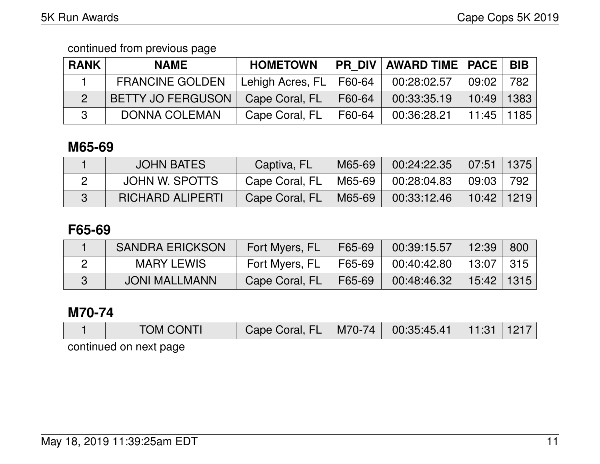| <b>RANK</b> | <b>NAME</b>              | <b>HOMETOWN</b>  |        | <b>PR DIV AWARD TIME PACE</b> |              | <b>BIB</b> |
|-------------|--------------------------|------------------|--------|-------------------------------|--------------|------------|
|             | <b>FRANCINE GOLDEN</b>   | Lehigh Acres, FL | F60-64 | 00:28:02.57                   | 09:02        | 782        |
|             | <b>BETTY JO FERGUSON</b> | Cape Coral, FL   | F60-64 | 00:33:35.19                   | 10:49        | 1383       |
|             | <b>DONNA COLEMAN</b>     | Cape Coral, FL   | F60-64 | 00:36:28.21                   | 11:45   1185 |            |

# **M65-69**

| <b>JOHN BATES</b>       | Captiva, FL    | M65-69 | 00:24:22.35 | $\sqrt{07:51}$ | 1375 |
|-------------------------|----------------|--------|-------------|----------------|------|
| JOHN W. SPOTTS          | Cape Coral, FL | M65-69 | 00:28:04.83 | 09:03          | 792  |
| <b>RICHARD ALIPERTI</b> | Cape Coral, FL | M65-69 | 00:33:12.46 | $10:42$   1219 |      |

## **F65-69**

| <b>SANDRA ERICKSON</b> | Fort Myers, FL | F65-69 | 00:39:15.57 | 12:39        | 800 |
|------------------------|----------------|--------|-------------|--------------|-----|
| MARY LEWIS             | Fort Myers, FL | F65-69 | 00:40:42.80 | 13:07 315    |     |
| <b>JONI MALLMANN</b>   | Cape Coral, FL | F65-69 | 00:48:46.32 | 15:42   1315 |     |

# **M70-74**

| <b>TOM CONTI</b>       | FL<br>Cape Coral, | M70-74 | 00:35:45.41 |  |
|------------------------|-------------------|--------|-------------|--|
| continued on novt nono |                   |        |             |  |